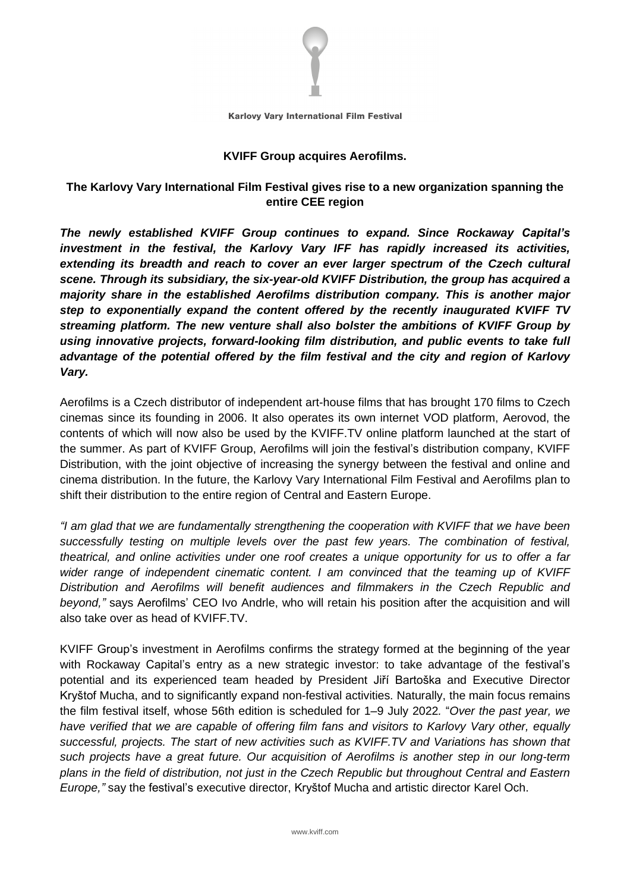

Karlovy Vary International Film Festival

### **KVIFF Group acquires Aerofilms.**

# **The Karlovy Vary International Film Festival gives rise to a new organization spanning the entire CEE region**

*The newly established KVIFF Group continues to expand. Since Rockaway Capital's investment in the festival, the Karlovy Vary IFF has rapidly increased its activities, extending its breadth and reach to cover an ever larger spectrum of the Czech cultural scene. Through its subsidiary, the six-year-old KVIFF Distribution, the group has acquired a majority share in the established Aerofilms distribution company. This is another major step to exponentially expand the content offered by the recently inaugurated KVIFF TV streaming platform. The new venture shall also bolster the ambitions of KVIFF Group by using innovative projects, forward-looking film distribution, and public events to take full advantage of the potential offered by the film festival and the city and region of Karlovy Vary.*

Aerofilms is a Czech distributor of independent art-house films that has brought 170 films to Czech cinemas since its founding in 2006. It also operates its own internet VOD platform, Aerovod, the contents of which will now also be used by the KVIFF.TV online platform launched at the start of the summer. As part of KVIFF Group, Aerofilms will join the festival's distribution company, KVIFF Distribution, with the joint objective of increasing the synergy between the festival and online and cinema distribution. In the future, the Karlovy Vary International Film Festival and Aerofilms plan to shift their distribution to the entire region of Central and Eastern Europe.

*"I am glad that we are fundamentally strengthening the cooperation with KVIFF that we have been successfully testing on multiple levels over the past few years. The combination of festival, theatrical, and online activities under one roof creates a unique opportunity for us to offer a far wider range of independent cinematic content. I am convinced that the teaming up of KVIFF Distribution and Aerofilms will benefit audiences and filmmakers in the Czech Republic and beyond,"* says Aerofilms' CEO Ivo Andrle, who will retain his position after the acquisition and will also take over as head of KVIFF.TV.

KVIFF Group's investment in Aerofilms confirms the strategy formed at the beginning of the year with Rockaway Capital's entry as a new strategic investor: to take advantage of the festival's potential and its experienced team headed by President Jiří Bartoška and Executive Director Kryštof Mucha, and to significantly expand non-festival activities. Naturally, the main focus remains the film festival itself, whose 56th edition is scheduled for 1–9 July 2022*.* "*Over the past year, we have verified that we are capable of offering film fans and visitors to Karlovy Vary other, equally successful, projects. The start of new activities such as KVIFF.TV and Variations has shown that such projects have a great future. Our acquisition of Aerofilms is another step in our long-term plans in the field of distribution, not just in the Czech Republic but throughout Central and Eastern Europe,"* say the festival's executive director, Kryštof Mucha and artistic director Karel Och.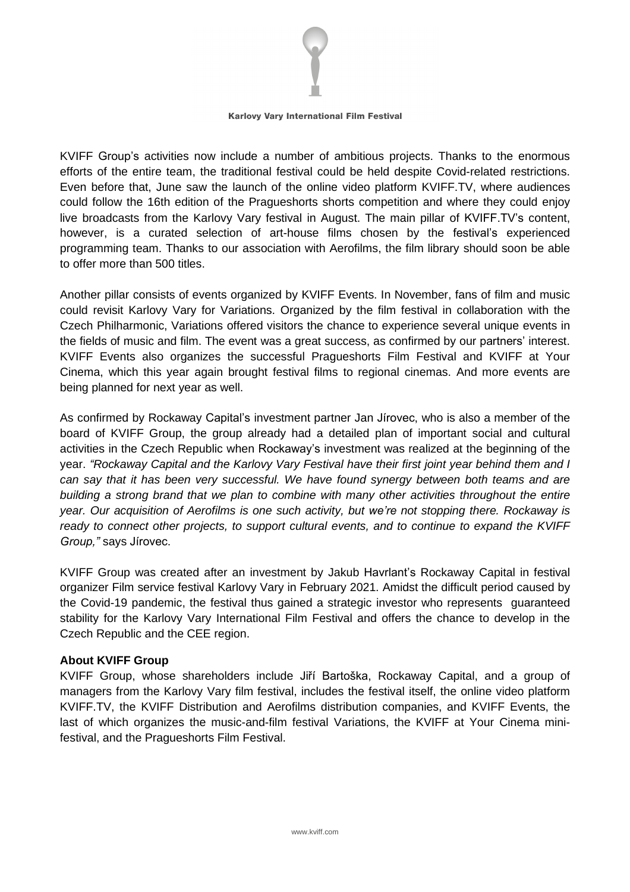

#### Karlovy Vary International Film Festival

KVIFF Group's activities now include a number of ambitious projects. Thanks to the enormous efforts of the entire team, the traditional festival could be held despite Covid-related restrictions. Even before that, June saw the launch of the online video platform KVIFF.TV, where audiences could follow the 16th edition of the Pragueshorts shorts competition and where they could enjoy live broadcasts from the Karlovy Vary festival in August. The main pillar of KVIFF.TV's content, however, is a curated selection of art-house films chosen by the festival's experienced programming team. Thanks to our association with Aerofilms, the film library should soon be able to offer more than 500 titles.

Another pillar consists of events organized by KVIFF Events. In November, fans of film and music could revisit Karlovy Vary for Variations. Organized by the film festival in collaboration with the Czech Philharmonic, Variations offered visitors the chance to experience several unique events in the fields of music and film. The event was a great success, as confirmed by our partners' interest. KVIFF Events also organizes the successful Pragueshorts Film Festival and KVIFF at Your Cinema, which this year again brought festival films to regional cinemas. And more events are being planned for next year as well.

As confirmed by Rockaway Capital's investment partner Jan Jírovec, who is also a member of the board of KVIFF Group, the group already had a detailed plan of important social and cultural activities in the Czech Republic when Rockaway's investment was realized at the beginning of the year. *"Rockaway Capital and the Karlovy Vary Festival have their first joint year behind them and I can say that it has been very successful. We have found synergy between both teams and are building a strong brand that we plan to combine with many other activities throughout the entire year. Our acquisition of Aerofilms is one such activity, but we're not stopping there. Rockaway is ready to connect other projects, to support cultural events, and to continue to expand the KVIFF Group,"* says Jírovec.

KVIFF Group was created after an investment by Jakub Havrlant's Rockaway Capital in festival organizer Film service festival Karlovy Vary in February 2021. Amidst the difficult period caused by the Covid-19 pandemic, the festival thus gained a strategic investor who represents guaranteed stability for the Karlovy Vary International Film Festival and offers the chance to develop in the Czech Republic and the CEE region.

## **About KVIFF Group**

KVIFF Group, whose shareholders include Jiří Bartoška, Rockaway Capital, and a group of managers from the Karlovy Vary film festival, includes the festival itself, the online video platform KVIFF.TV, the KVIFF Distribution and Aerofilms distribution companies, and KVIFF Events, the last of which organizes the music-and-film festival Variations, the KVIFF at Your Cinema minifestival, and the Pragueshorts Film Festival.